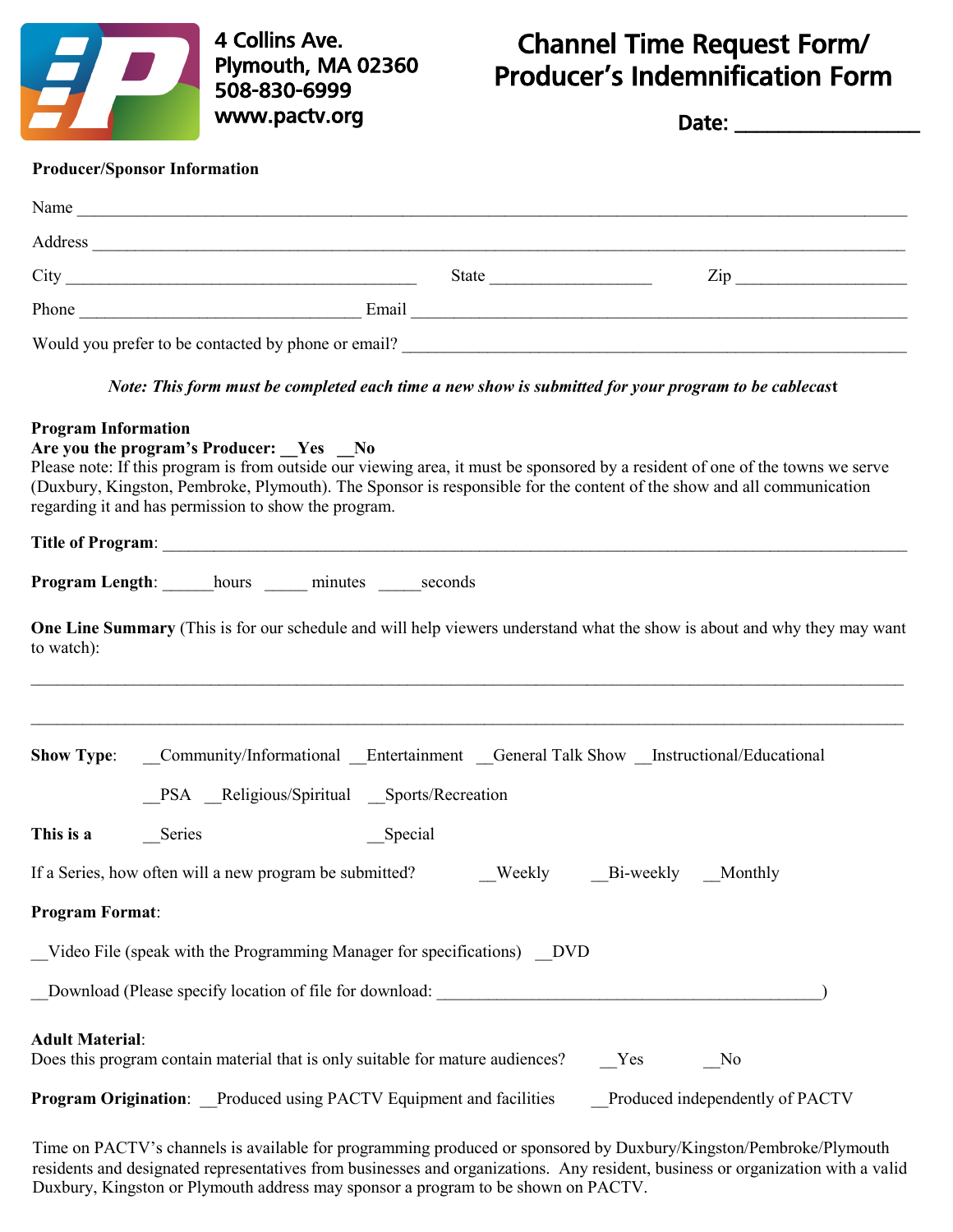

4 Collins Ave. Plymouth, MA 02360 508-830-6999 www.pactv.org

## Channel Time Request Form/ Producer's Indemnification Form

Date: \_\_\_\_\_\_\_\_\_\_\_\_\_\_\_\_\_

## **Producer/Sponsor Information**

|                            | Address experience and the contract of the contract of the contract of the contract of the contract of the contract of the contract of the contract of the contract of the contract of the contract of the contract of the con                                                                                                                            |         |           |                                 |
|----------------------------|-----------------------------------------------------------------------------------------------------------------------------------------------------------------------------------------------------------------------------------------------------------------------------------------------------------------------------------------------------------|---------|-----------|---------------------------------|
|                            |                                                                                                                                                                                                                                                                                                                                                           |         |           | $\mathsf{Zip}\_$                |
|                            |                                                                                                                                                                                                                                                                                                                                                           |         |           |                                 |
|                            |                                                                                                                                                                                                                                                                                                                                                           |         |           |                                 |
|                            | Note: This form must be completed each time a new show is submitted for your program to be cablecast                                                                                                                                                                                                                                                      |         |           |                                 |
| <b>Program Information</b> | Are you the program's Producer: Yes No<br>Please note: If this program is from outside our viewing area, it must be sponsored by a resident of one of the towns we serve<br>(Duxbury, Kingston, Pembroke, Plymouth). The Sponsor is responsible for the content of the show and all communication<br>regarding it and has permission to show the program. |         |           |                                 |
|                            |                                                                                                                                                                                                                                                                                                                                                           |         |           |                                 |
|                            | <b>Program Length:</b> hours minutes seconds                                                                                                                                                                                                                                                                                                              |         |           |                                 |
| to watch):                 | One Line Summary (This is for our schedule and will help viewers understand what the show is about and why they may want                                                                                                                                                                                                                                  |         |           |                                 |
| <b>Show Type:</b>          | Community/Informational Entertainment General Talk Show Instructional/Educational<br>PSA Religious/Spiritual Sports/Recreation                                                                                                                                                                                                                            |         |           |                                 |
| This is a                  | Series                                                                                                                                                                                                                                                                                                                                                    | Special |           |                                 |
|                            | If a Series, how often will a new program be submitted?                                                                                                                                                                                                                                                                                                   | Weekly  | Bi-weekly | Monthly                         |
| <b>Program Format:</b>     |                                                                                                                                                                                                                                                                                                                                                           |         |           |                                 |
|                            | Video File (speak with the Programming Manager for specifications) DVD                                                                                                                                                                                                                                                                                    |         |           |                                 |
|                            | Download (Please specify location of file for download: _________________________                                                                                                                                                                                                                                                                         |         |           |                                 |
| <b>Adult Material:</b>     | Does this program contain material that is only suitable for mature audiences?                                                                                                                                                                                                                                                                            |         | Yes       | No                              |
|                            | Program Origination: Produced using PACTV Equipment and facilities                                                                                                                                                                                                                                                                                        |         |           | Produced independently of PACTV |

Time on PACTV's channels is available for programming produced or sponsored by Duxbury/Kingston/Pembroke/Plymouth residents and designated representatives from businesses and organizations. Any resident, business or organization with a valid Duxbury, Kingston or Plymouth address may sponsor a program to be shown on PACTV.